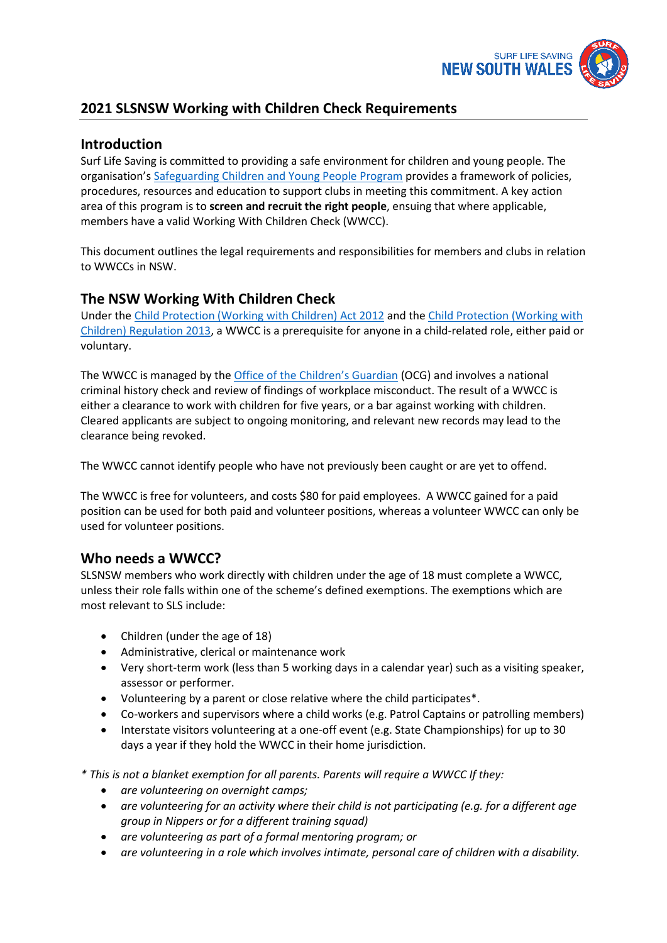

# **2021 SLSNSW Working with Children Check Requirements**

## **Introduction**

Surf Life Saving is committed to providing a safe environment for children and young people. The organisation's [Safeguarding Children and Young People Program](https://www.surflifesaving.com.au/resources/member-safeguarding) provides a framework of policies, procedures, resources and education to support clubs in meeting this commitment. A key action area of this program is to **screen and recruit the right people**, ensuing that where applicable, members have a valid Working With Children Check (WWCC).

This document outlines the legal requirements and responsibilities for members and clubs in relation to WWCCs in NSW.

## **The NSW Working With Children Check**

Under the [Child Protection \(Working with Children\) Act 2012](https://legislation.nsw.gov.au/view/html/inforce/current/act-2012-051) and the [Child Protection \(Working with](https://legislation.nsw.gov.au/view/html/inforce/current/sl-2013-0156)  [Children\) Regulation 2013,](https://legislation.nsw.gov.au/view/html/inforce/current/sl-2013-0156) a WWCC is a prerequisite for anyone in a child-related role, either paid or voluntary.

The WWCC is managed by the [Office of the Children's Guardian](http://www.kidsguardian.nsw.gov.au/) (OCG) and involves a national criminal history check and review of findings of workplace misconduct. The result of a WWCC is either a clearance to work with children for five years, or a bar against working with children. Cleared applicants are subject to ongoing monitoring, and relevant new records may lead to the clearance being revoked.

The WWCC cannot identify people who have not previously been caught or are yet to offend.

The WWCC is free for volunteers, and costs \$80 for paid employees. A WWCC gained for a paid position can be used for both paid and volunteer positions, whereas a volunteer WWCC can only be used for volunteer positions.

# **Who needs a WWCC?**

SLSNSW members who work directly with children under the age of 18 must complete a WWCC, unless their role falls within one of the scheme's defined exemptions. The exemptions which are most relevant to SLS include:

- Children (under the age of 18)
- Administrative, clerical or maintenance work
- Very short-term work (less than 5 working days in a calendar year) such as a visiting speaker, assessor or performer.
- Volunteering by a parent or close relative where the child participates\*.
- Co-workers and supervisors where a child works (e.g. Patrol Captains or patrolling members)
- Interstate visitors volunteering at a one-off event (e.g. State Championships) for up to 30 days a year if they hold the WWCC in their home jurisdiction.

*\* This is not a blanket exemption for all parents. Parents will require a WWCC If they:*

- *are volunteering on overnight camps;*
- *are volunteering for an activity where their child is not participating (e.g. for a different age group in Nippers or for a different training squad)*
- *are volunteering as part of a formal mentoring program; or*
- *are volunteering in a role which involves intimate, personal care of children with a disability.*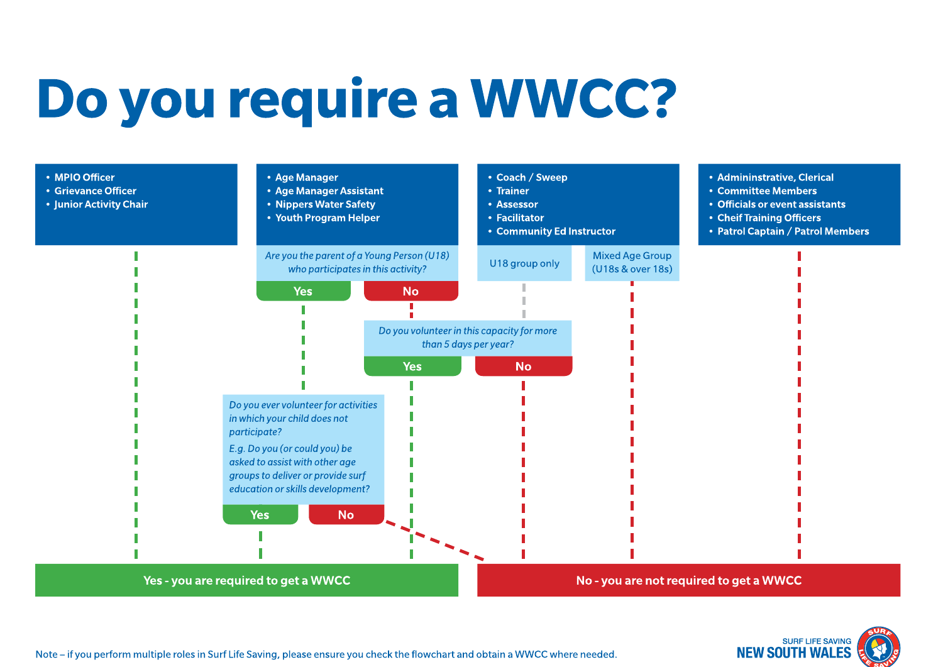# Do you require a WWCC?



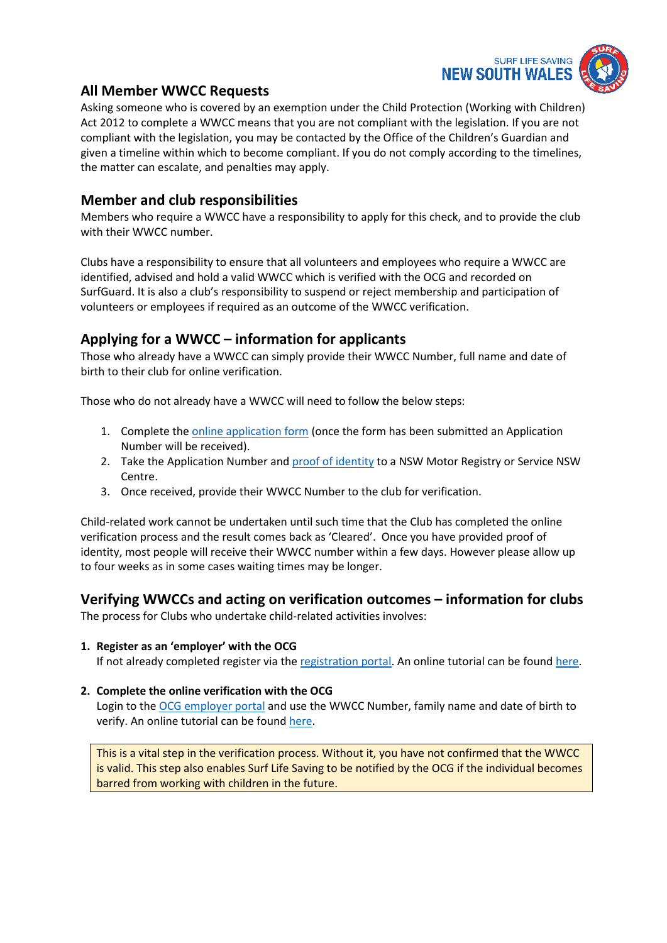

# **All Member WWCC Requests**

Asking someone who is covered by an exemption under the Child Protection (Working with Children) Act 2012 to complete a WWCC means that you are not compliant with the legislation. If you are not compliant with the legislation, you may be contacted by the Office of the Children's Guardian and given a timeline within which to become compliant. If you do not comply according to the timelines, the matter can escalate, and penalties may apply.

## **Member and club responsibilities**

Members who require a WWCC have a responsibility to apply for this check, and to provide the club with their WWCC number.

Clubs have a responsibility to ensure that all volunteers and employees who require a WWCC are identified, advised and hold a valid WWCC which is verified with the OCG and recorded on SurfGuard. It is also a club's responsibility to suspend or reject membership and participation of volunteers or employees if required as an outcome of the WWCC verification.

## **Applying for a WWCC – information for applicants**

Those who already have a WWCC can simply provide their WWCC Number, full name and date of birth to their club for online verification.

Those who do not already have a WWCC will need to follow the below steps:

- 1. Complete the [online application form](https://wwccheck.ccyp.nsw.gov.au/Applicants/Application) (once the form has been submitted an Application Number will be received).
- 2. Take the Application Number an[d proof of identity](https://www.ocg.nsw.gov.au/child-safe-organisations/working-with-children-check/applicant/proof-of-identity) to a NSW Motor Registry or Service NSW Centre.
- 3. Once received, provide their WWCC Number to the club for verification.

Child-related work cannot be undertaken until such time that the Club has completed the online verification process and the result comes back as 'Cleared'. Once you have provided proof of identity, most people will receive their WWCC number within a few days. However please allow up to four weeks as in some cases waiting times may be longer.

## **Verifying WWCCs and acting on verification outcomes – information for clubs**

The process for Clubs who undertake child-related activities involves:

#### **1. Register as an 'employer' with the OCG**

If not already completed register via the [registration portal.](https://wwccheck.ccyp.nsw.gov.au/Employers/Registration/Create) An online tutorial can be found [here.](https://www.youtube.com/watch?v=1pVxHDQ9yBs)

#### **2. Complete the online verification with the OCG**

Login to the [OCG employer portal](https://wwccheck.ccyp.nsw.gov.au/Employers/Login) and use the WWCC Number, family name and date of birth to verify. An online tutorial can be found [here.](https://www.youtube.com/watch?v=2qUq_59Zmzc)

This is a vital step in the verification process. Without it, you have not confirmed that the WWCC is valid. This step also enables Surf Life Saving to be notified by the OCG if the individual becomes barred from working with children in the future.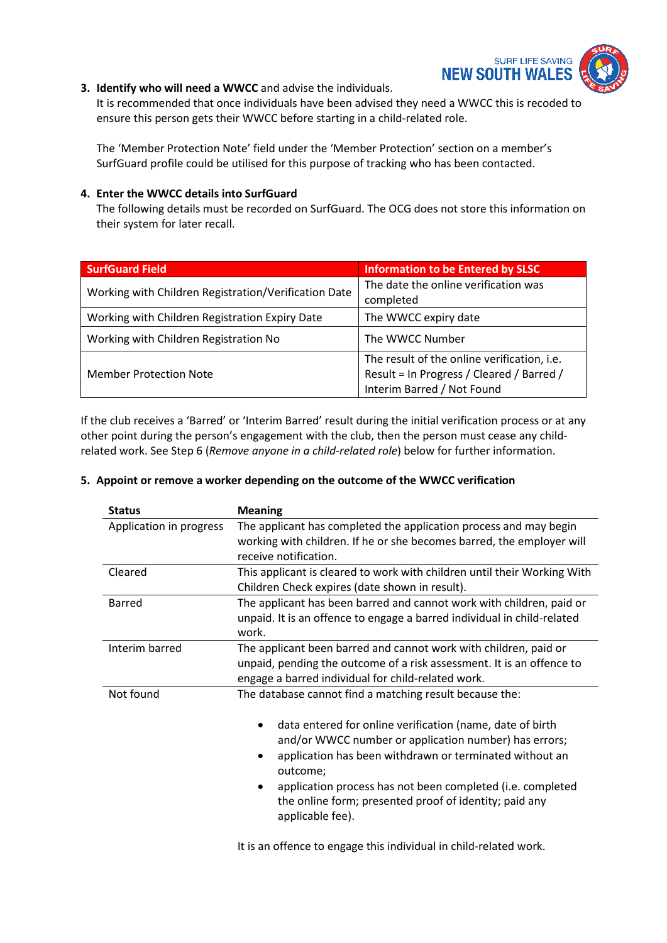

#### **3. Identify who will need a WWCC** and advise the individuals.

It is recommended that once individuals have been advised they need a WWCC this is recoded to ensure this person gets their WWCC before starting in a child-related role.

The 'Member Protection Note' field under the 'Member Protection' section on a member's SurfGuard profile could be utilised for this purpose of tracking who has been contacted.

#### **4. Enter the WWCC details into SurfGuard**

The following details must be recorded on SurfGuard. The OCG does not store this information on their system for later recall.

| <b>SurfGuard Field</b>                               | <b>Information to be Entered by SLSC</b>                                                                               |
|------------------------------------------------------|------------------------------------------------------------------------------------------------------------------------|
| Working with Children Registration/Verification Date | The date the online verification was<br>completed                                                                      |
| Working with Children Registration Expiry Date       | The WWCC expiry date                                                                                                   |
| Working with Children Registration No                | The WWCC Number                                                                                                        |
| <b>Member Protection Note</b>                        | The result of the online verification, i.e.<br>Result = In Progress / Cleared / Barred /<br>Interim Barred / Not Found |

If the club receives a 'Barred' or 'Interim Barred' result during the initial verification process or at any other point during the person's engagement with the club, then the person must cease any childrelated work. See Step 6 (*Remove anyone in a child-related role*) below for further information.

#### **5. Appoint or remove a worker depending on the outcome of the WWCC verification**

| <b>Status</b>           | <b>Meaning</b>                                                                                                                                                                                                                                                                                                                                                                                   |
|-------------------------|--------------------------------------------------------------------------------------------------------------------------------------------------------------------------------------------------------------------------------------------------------------------------------------------------------------------------------------------------------------------------------------------------|
| Application in progress | The applicant has completed the application process and may begin<br>working with children. If he or she becomes barred, the employer will<br>receive notification.                                                                                                                                                                                                                              |
| Cleared                 | This applicant is cleared to work with children until their Working With<br>Children Check expires (date shown in result).                                                                                                                                                                                                                                                                       |
| Barred                  | The applicant has been barred and cannot work with children, paid or<br>unpaid. It is an offence to engage a barred individual in child-related<br>work.                                                                                                                                                                                                                                         |
| Interim barred          | The applicant been barred and cannot work with children, paid or<br>unpaid, pending the outcome of a risk assessment. It is an offence to<br>engage a barred individual for child-related work.                                                                                                                                                                                                  |
| Not found               | The database cannot find a matching result because the:<br>data entered for online verification (name, date of birth<br>and/or WWCC number or application number) has errors;<br>application has been withdrawn or terminated without an<br>outcome;<br>application process has not been completed (i.e. completed<br>the online form; presented proof of identity; paid any<br>applicable fee). |

It is an offence to engage this individual in child-related work.